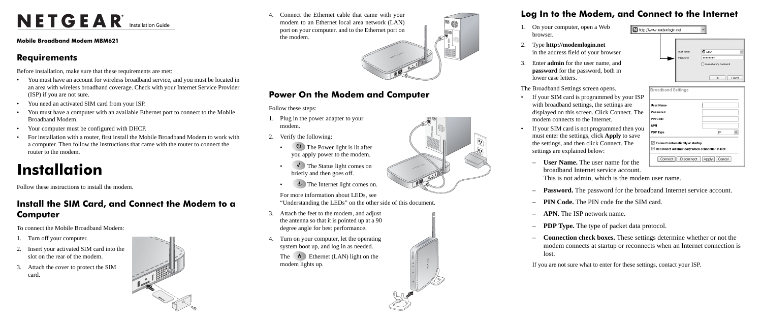# NETGEAR<sup>®</sup> Installation Guide

**Mobile Broadband Modem MBM621**

#### **Requirements**

Before installation, make sure that these requirements are met:

- You must have an account for wireless broadband service, and you must be located in an area with wireless broadband coverage. Check with your Internet Service Provider (ISP) if you are not sure.
- You need an activated SIM card from your ISP.
- You must have a computer with an available Ethernet port to connect to the Mobile Broadband Modem.
- Your computer must be configured with DHCP.
- For installation with a router, first install the Mobile Broadband Modem to work with a computer. Then follow the instructions that came with the router to connect the router to the modem.

- Turn off your computer.
- 2. Insert your activated SIM card into the slot on the rear of the modem.
- 3. Attach the cover to protect the SIM card.



- 1. Plug in the power adapter to your modem.
- 2. Verify the following:
	- $\bigcirc$  The Power light is lit after you apply power to the modem.
	- $\sqrt{ }$  The Status light comes on briefly and then goes off.
	- The Internet light comes on.

## **Installation**

Follow these instructions to install the modem.

### **Install the SIM Card, and Connect the Modem to a Computer**

The  $\vec{r}$  Ethernet (LAN) light on the modem lights up.



To connect the Mobile Broadband Modem:



Follow these steps:

If your SIM card is programmed by your IS with broadband settings, the settings are displayed on this screen. Click Connect. Th modem connects to the Internet.

If your SIM card is not programmed then you must enter the settings, click **Apply** to save the settings, and then click Connect. The settings are explained below:

For more information about LEDs, see "Understanding the LEDs" on the other side of this document.

- 3. Attach the feet to the modem, and adjust the antenna so that it is pointed up at a 90 degree angle for best performance.
- 4. Turn on your computer, let the operating system boot up, and log in as needed.

4. Connect the Ethernet cable that came with your modem to an Ethernet local area network (LAN) port on your computer. and to the Ethernet port on the modem.

### **Log In to the Modem, and Connect to the Internet**

 $\overline{\mathbf{z}}$ 

1. On your computer, open a Web

#### 2. Type **http://modemlogin.net**

in the address field of your browser.

- browser.
- 
- lower case letters.

- 
- 

 $\mathbf{0}$ 

3. Enter **admin** for the user name, and **password** for the password, both in

The Broadband Settings screen opens.

– **User Name.** The user name for the broadband Internet service account.

This is not admin, which is the modem user name.

– **Password.** The password for the broadband Internet service account.

– **PIN Code.** The PIN code for the SIM card.

– **APN.** The ISP network name.

– **PDP Type.** The type of packet data protocol.

– **Connection check boxes.** These settings determine whether or not the modem connects at startup or reconnects when an Internet connection is

- 
- 
- 
- 
- 
- lost.

If you are not sure what to enter for these settings, contact your ISP.

| http://www.modemlogin.net                    |                         |                                                                |
|----------------------------------------------|-------------------------|----------------------------------------------------------------|
|                                              | User name:<br>Password: | 2 admin<br>$\checkmark$<br>Remember my password                |
|                                              |                         | Cancel<br>OK                                                   |
| <b>Broadband Settings</b>                    |                         |                                                                |
| <b>User Name</b>                             |                         |                                                                |
| Password                                     |                         |                                                                |
| <b>PIN Code</b>                              |                         |                                                                |
| <b>APN</b>                                   |                         |                                                                |
| PDP Type                                     |                         | IP<br>$\checkmark$                                             |
| $\mathbb Z$ Connect automatically at startup |                         | $\blacksquare$ Reconnect automatically When connection is lost |
| Connect                                      | <b>Disconnect</b>       | <b>I</b> Apply<br>Cancel                                       |